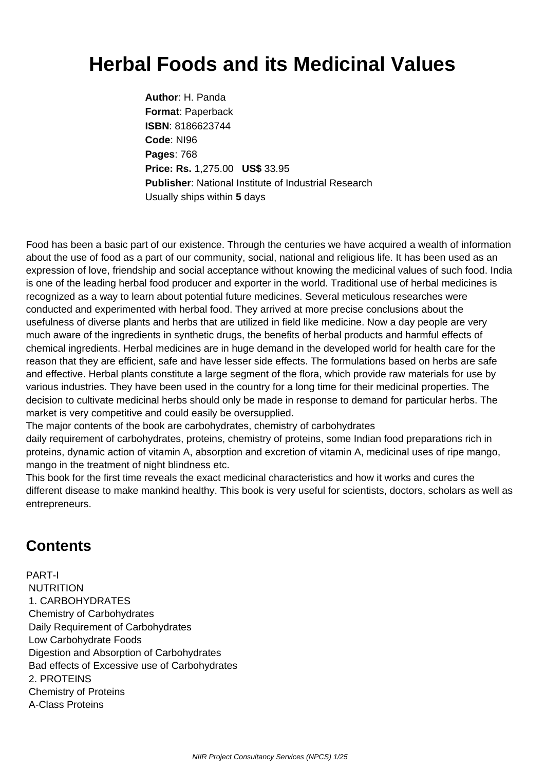## **Herbal Foods and its Medicinal Values**

**Author**: H. Panda **Format**: Paperback **ISBN**: 8186623744 **Code**: NI96 **Pages**: 768 **Price: Rs.** 1,275.00 **US\$** 33.95 **Publisher**: National Institute of Industrial Research Usually ships within **5** days

Food has been a basic part of our existence. Through the centuries we have acquired a wealth of information about the use of food as a part of our community, social, national and religious life. It has been used as an expression of love, friendship and social acceptance without knowing the medicinal values of such food. India is one of the leading herbal food producer and exporter in the world. Traditional use of herbal medicines is recognized as a way to learn about potential future medicines. Several meticulous researches were conducted and experimented with herbal food. They arrived at more precise conclusions about the usefulness of diverse plants and herbs that are utilized in field like medicine. Now a day people are very much aware of the ingredients in synthetic drugs, the benefits of herbal products and harmful effects of chemical ingredients. Herbal medicines are in huge demand in the developed world for health care for the reason that they are efficient, safe and have lesser side effects. The formulations based on herbs are safe and effective. Herbal plants constitute a large segment of the flora, which provide raw materials for use by various industries. They have been used in the country for a long time for their medicinal properties. The decision to cultivate medicinal herbs should only be made in response to demand for particular herbs. The market is very competitive and could easily be oversupplied.

The major contents of the book are carbohydrates, chemistry of carbohydrates

daily requirement of carbohydrates, proteins, chemistry of proteins, some Indian food preparations rich in proteins, dynamic action of vitamin A, absorption and excretion of vitamin A, medicinal uses of ripe mango, mango in the treatment of night blindness etc.

This book for the first time reveals the exact medicinal characteristics and how it works and cures the different disease to make mankind healthy. This book is very useful for scientists, doctors, scholars as well as entrepreneurs.

## **Contents**

PART-I NUTRITION 1. CARBOHYDRATES Chemistry of Carbohydrates Daily Requirement of Carbohydrates Low Carbohydrate Foods Digestion and Absorption of Carbohydrates Bad effects of Excessive use of Carbohydrates 2. PROTEINS Chemistry of Proteins A-Class Proteins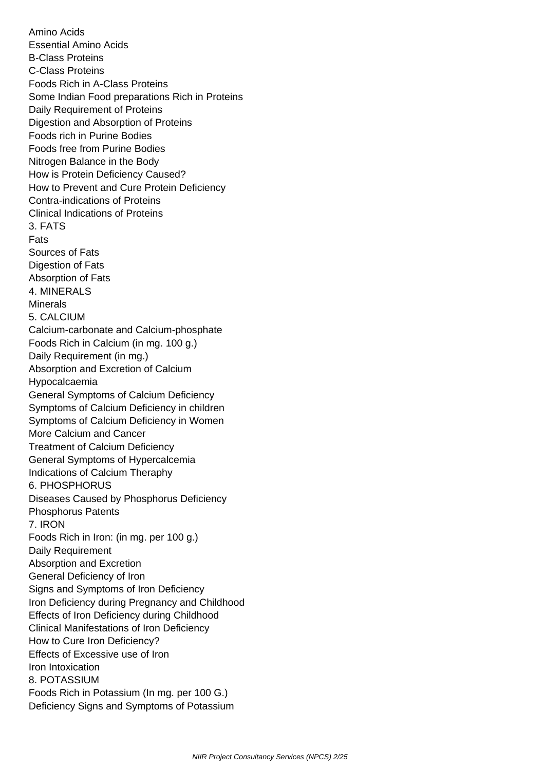Amino Acids Essential Amino Acids B-Class Proteins C-Class Proteins Foods Rich in A-Class Proteins Some Indian Food preparations Rich in Proteins Daily Requirement of Proteins Digestion and Absorption of Proteins Foods rich in Purine Bodies Foods free from Purine Bodies Nitrogen Balance in the Body How is Protein Deficiency Caused? How to Prevent and Cure Protein Deficiency Contra-indications of Proteins Clinical Indications of Proteins 3. FATS Fats Sources of Fats Digestion of Fats Absorption of Fats 4. MINERALS Minerals 5. CALCIUM Calcium-carbonate and Calcium-phosphate Foods Rich in Calcium (in mg. 100 g.) Daily Requirement (in mg.) Absorption and Excretion of Calcium Hypocalcaemia General Symptoms of Calcium Deficiency Symptoms of Calcium Deficiency in children Symptoms of Calcium Deficiency in Women More Calcium and Cancer Treatment of Calcium Deficiency General Symptoms of Hypercalcemia Indications of Calcium Theraphy 6. PHOSPHORUS Diseases Caused by Phosphorus Deficiency Phosphorus Patents 7. IRON Foods Rich in Iron: (in mg. per 100 g.) Daily Requirement Absorption and Excretion General Deficiency of Iron Signs and Symptoms of Iron Deficiency Iron Deficiency during Pregnancy and Childhood Effects of Iron Deficiency during Childhood Clinical Manifestations of Iron Deficiency How to Cure Iron Deficiency? Effects of Excessive use of Iron Iron Intoxication 8. POTASSIUM Foods Rich in Potassium (In mg. per 100 G.) Deficiency Signs and Symptoms of Potassium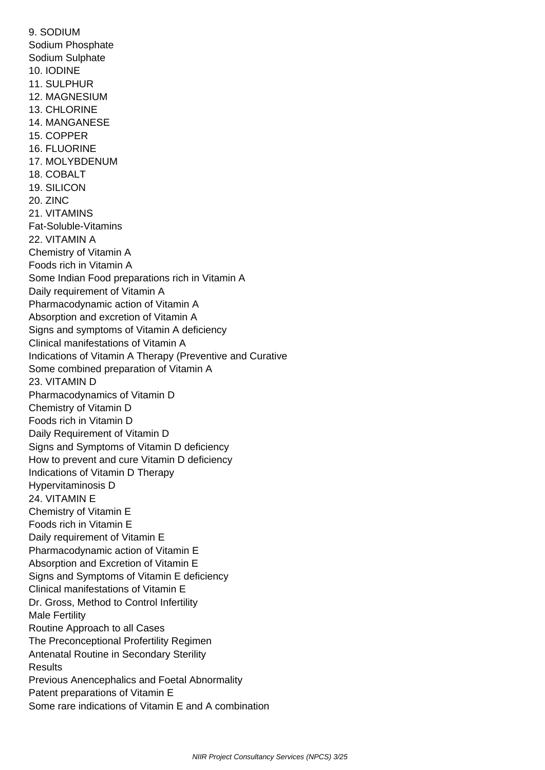9. SODIUM Sodium Phosphate Sodium Sulphate 10. IODINE 11. SULPHUR 12. MAGNESIUM 13. CHLORINE 14. MANGANESE 15. COPPER 16. FLUORINE 17. MOLYBDENUM 18. COBALT 19. SILICON 20. ZINC 21. VITAMINS Fat-Soluble-Vitamins 22. VITAMIN A Chemistry of Vitamin A Foods rich in Vitamin A Some Indian Food preparations rich in Vitamin A Daily requirement of Vitamin A Pharmacodynamic action of Vitamin A Absorption and excretion of Vitamin A Signs and symptoms of Vitamin A deficiency Clinical manifestations of Vitamin A Indications of Vitamin A Therapy (Preventive and Curative Some combined preparation of Vitamin A 23. VITAMIN D Pharmacodynamics of Vitamin D Chemistry of Vitamin D Foods rich in Vitamin D Daily Requirement of Vitamin D Signs and Symptoms of Vitamin D deficiency How to prevent and cure Vitamin D deficiency Indications of Vitamin D Therapy Hypervitaminosis D 24. VITAMIN E Chemistry of Vitamin E Foods rich in Vitamin E Daily requirement of Vitamin E Pharmacodynamic action of Vitamin E Absorption and Excretion of Vitamin E Signs and Symptoms of Vitamin E deficiency Clinical manifestations of Vitamin E Dr. Gross, Method to Control Infertility Male Fertility Routine Approach to all Cases The Preconceptional Profertility Regimen Antenatal Routine in Secondary Sterility **Results**  Previous Anencephalics and Foetal Abnormality Patent preparations of Vitamin E Some rare indications of Vitamin E and A combination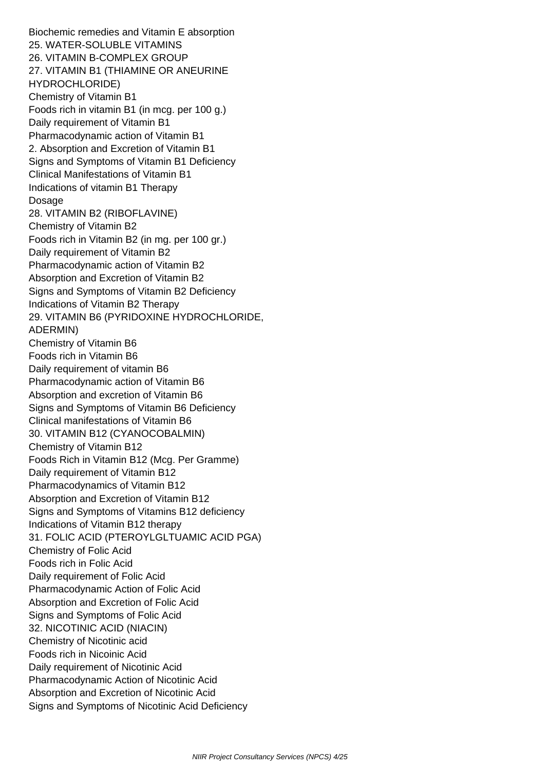Biochemic remedies and Vitamin E absorption 25. WATER-SOLUBLE VITAMINS 26. VITAMIN B-COMPLEX GROUP 27. VITAMIN B1 (THIAMINE OR ANEURINE HYDROCHLORIDE) Chemistry of Vitamin B1 Foods rich in vitamin B1 (in mcg. per 100 g.) Daily requirement of Vitamin B1 Pharmacodynamic action of Vitamin B1 2. Absorption and Excretion of Vitamin B1 Signs and Symptoms of Vitamin B1 Deficiency Clinical Manifestations of Vitamin B1 Indications of vitamin B1 Therapy Dosage 28. VITAMIN B2 (RIBOFLAVINE) Chemistry of Vitamin B2 Foods rich in Vitamin B2 (in mg. per 100 gr.) Daily requirement of Vitamin B2 Pharmacodynamic action of Vitamin B2 Absorption and Excretion of Vitamin B2 Signs and Symptoms of Vitamin B2 Deficiency Indications of Vitamin B2 Therapy 29. VITAMIN B6 (PYRIDOXINE HYDROCHLORIDE, ADERMIN) Chemistry of Vitamin B6 Foods rich in Vitamin B6 Daily requirement of vitamin B6 Pharmacodynamic action of Vitamin B6 Absorption and excretion of Vitamin B6 Signs and Symptoms of Vitamin B6 Deficiency Clinical manifestations of Vitamin B6 30. VITAMIN B12 (CYANOCOBALMIN) Chemistry of Vitamin B12 Foods Rich in Vitamin B12 (Mcg. Per Gramme) Daily requirement of Vitamin B12 Pharmacodynamics of Vitamin B12 Absorption and Excretion of Vitamin B12 Signs and Symptoms of Vitamins B12 deficiency Indications of Vitamin B12 therapy 31. FOLIC ACID (PTEROYLGLTUAMIC ACID PGA) Chemistry of Folic Acid Foods rich in Folic Acid Daily requirement of Folic Acid Pharmacodynamic Action of Folic Acid Absorption and Excretion of Folic Acid Signs and Symptoms of Folic Acid 32. NICOTINIC ACID (NIACIN) Chemistry of Nicotinic acid Foods rich in Nicoinic Acid Daily requirement of Nicotinic Acid Pharmacodynamic Action of Nicotinic Acid Absorption and Excretion of Nicotinic Acid Signs and Symptoms of Nicotinic Acid Deficiency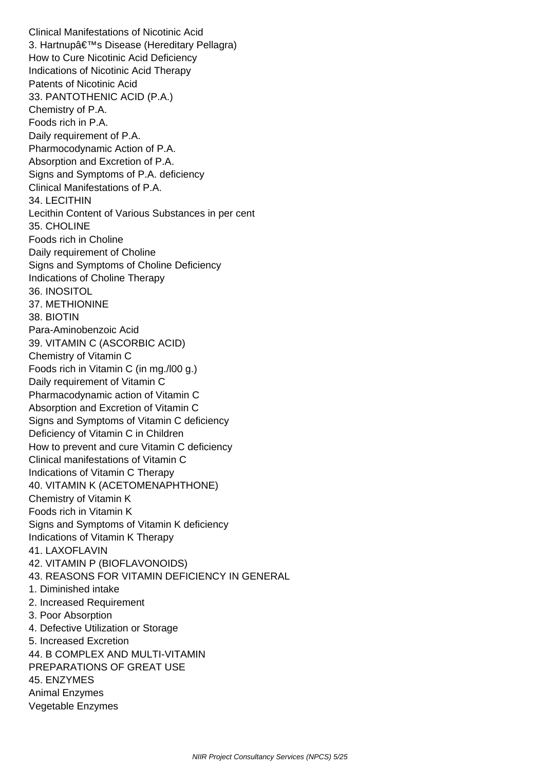Clinical Manifestations of Nicotinic Acid 3. Hartnup's Disease (Hereditary Pellagra) How to Cure Nicotinic Acid Deficiency Indications of Nicotinic Acid Therapy Patents of Nicotinic Acid 33. PANTOTHENIC ACID (P.A.) Chemistry of P.A. Foods rich in P.A. Daily requirement of P.A. Pharmocodynamic Action of P.A. Absorption and Excretion of P.A. Signs and Symptoms of P.A. deficiency Clinical Manifestations of P.A. 34. LECITHIN Lecithin Content of Various Substances in per cent 35. CHOLINE Foods rich in Choline Daily requirement of Choline Signs and Symptoms of Choline Deficiency Indications of Choline Therapy 36. INOSITOL 37. METHIONINE 38. BIOTIN Para-Aminobenzoic Acid 39. VITAMIN C (ASCORBIC ACID) Chemistry of Vitamin C Foods rich in Vitamin C (in mg./l00 g.) Daily requirement of Vitamin C Pharmacodynamic action of Vitamin C Absorption and Excretion of Vitamin C Signs and Symptoms of Vitamin C deficiency Deficiency of Vitamin C in Children How to prevent and cure Vitamin C deficiency Clinical manifestations of Vitamin C Indications of Vitamin C Therapy 40. VITAMIN K (ACETOMENAPHTHONE) Chemistry of Vitamin K Foods rich in Vitamin K Signs and Symptoms of Vitamin K deficiency Indications of Vitamin K Therapy 41. LAXOFLAVIN 42. VITAMIN P (BIOFLAVONOIDS) 43. REASONS FOR VITAMIN DEFICIENCY IN GENERAL 1. Diminished intake 2. Increased Requirement 3. Poor Absorption 4. Defective Utilization or Storage 5. Increased Excretion 44. B COMPLEX AND MULTI-VITAMIN PREPARATIONS OF GREAT USE 45. ENZYMES Animal Enzymes Vegetable Enzymes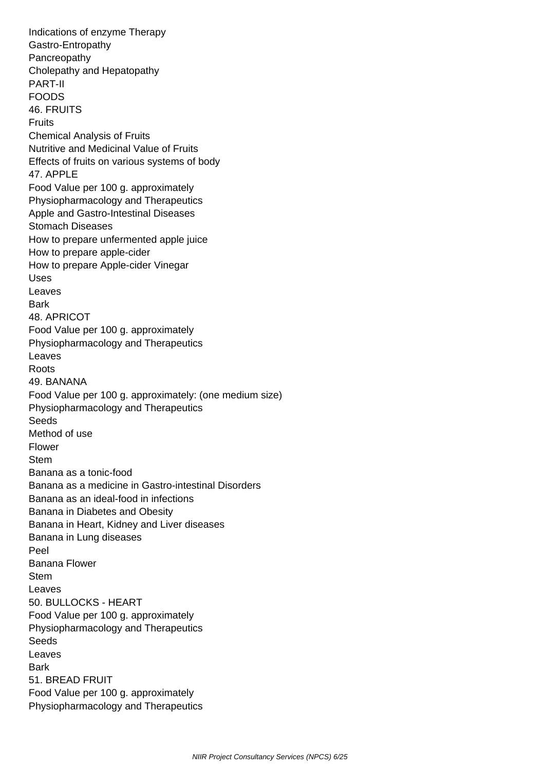Indications of enzyme Therapy Gastro-Entropathy Pancreopathy Cholepathy and Hepatopathy PART-II FOODS 46. FRUITS **Fruits**  Chemical Analysis of Fruits Nutritive and Medicinal Value of Fruits Effects of fruits on various systems of body 47. APPLE Food Value per 100 g. approximately Physiopharmacology and Therapeutics Apple and Gastro-Intestinal Diseases Stomach Diseases How to prepare unfermented apple juice How to prepare apple-cider How to prepare Apple-cider Vinegar Uses Leaves Bark 48. APRICOT Food Value per 100 g. approximately Physiopharmacology and Therapeutics Leaves Roots 49. BANANA Food Value per 100 g. approximately: (one medium size) Physiopharmacology and Therapeutics Seeds Method of use Flower Stem Banana as a tonic-food Banana as a medicine in Gastro-intestinal Disorders Banana as an ideal-food in infections Banana in Diabetes and Obesity Banana in Heart, Kidney and Liver diseases Banana in Lung diseases Peel Banana Flower Stem Leaves 50. BULLOCKS - HEART Food Value per 100 g. approximately Physiopharmacology and Therapeutics Seeds Leaves **Bark**  51. BREAD FRUIT Food Value per 100 g. approximately Physiopharmacology and Therapeutics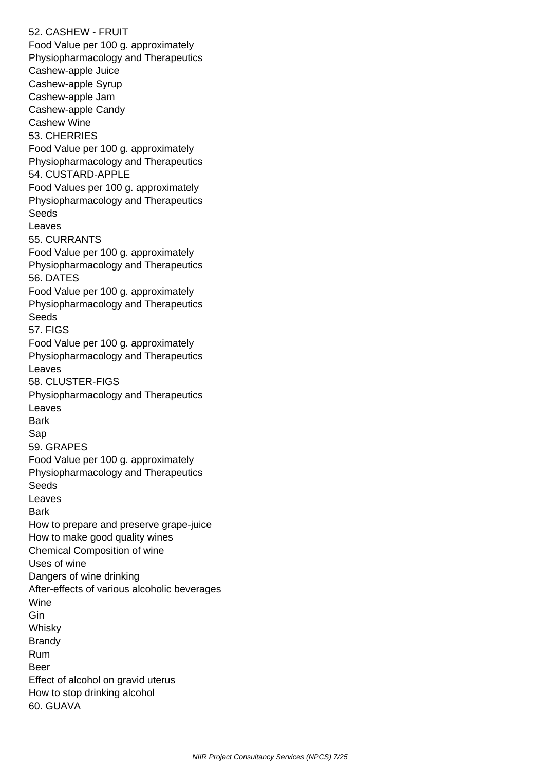52. CASHEW - FRUIT Food Value per 100 g. approximately Physiopharmacology and Therapeutics Cashew-apple Juice Cashew-apple Syrup Cashew-apple Jam Cashew-apple Candy Cashew Wine 53. CHERRIES Food Value per 100 g. approximately Physiopharmacology and Therapeutics 54. CUSTARD-APPLE Food Values per 100 g. approximately Physiopharmacology and Therapeutics Seeds Leaves 55. CURRANTS Food Value per 100 g. approximately Physiopharmacology and Therapeutics 56. DATES Food Value per 100 g. approximately Physiopharmacology and Therapeutics Seeds 57. FIGS Food Value per 100 g. approximately Physiopharmacology and Therapeutics Leaves 58. CLUSTER-FIGS Physiopharmacology and Therapeutics Leaves Bark Sap 59. GRAPES Food Value per 100 g. approximately Physiopharmacology and Therapeutics Seeds Leaves **Bark**  How to prepare and preserve grape-juice How to make good quality wines Chemical Composition of wine Uses of wine Dangers of wine drinking After-effects of various alcoholic beverages Wine Gin Whisky Brandy Rum Beer Effect of alcohol on gravid uterus How to stop drinking alcohol 60. GUAVA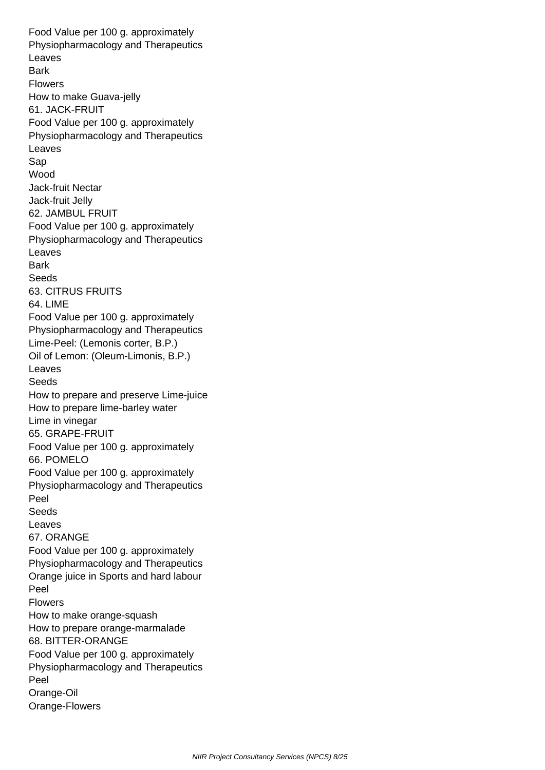Food Value per 100 g. approximately Physiopharmacology and Therapeutics Leaves **Bark**  Flowers How to make Guava-jelly 61. JACK-FRUIT Food Value per 100 g. approximately Physiopharmacology and Therapeutics Leaves Sap Wood Jack-fruit Nectar Jack-fruit Jelly 62. JAMBUL FRUIT Food Value per 100 g. approximately Physiopharmacology and Therapeutics Leaves Bark **Seeds**  63. CITRUS FRUITS 64. LIME Food Value per 100 g. approximately Physiopharmacology and Therapeutics Lime-Peel: (Lemonis corter, B.P.) Oil of Lemon: (Oleum-Limonis, B.P.) Leaves Seeds How to prepare and preserve Lime-juice How to prepare lime-barley water Lime in vinegar 65. GRAPE-FRUIT Food Value per 100 g. approximately 66. POMELO Food Value per 100 g. approximately Physiopharmacology and Therapeutics Peel **Seeds**  Leaves 67. ORANGE Food Value per 100 g. approximately Physiopharmacology and Therapeutics Orange juice in Sports and hard labour Peel Flowers How to make orange-squash How to prepare orange-marmalade 68. BITTER-ORANGE Food Value per 100 g. approximately Physiopharmacology and Therapeutics Peel Orange-Oil Orange-Flowers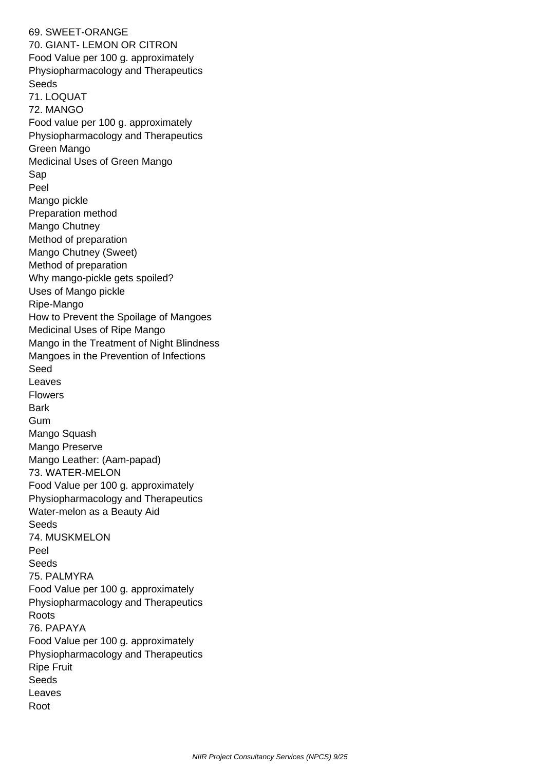69. SWEET-ORANGE 70. GIANT- LEMON OR CITRON Food Value per 100 g. approximately Physiopharmacology and Therapeutics Seeds 71. LOQUAT 72. MANGO Food value per 100 g. approximately Physiopharmacology and Therapeutics Green Mango Medicinal Uses of Green Mango Sap Peel Mango pickle Preparation method Mango Chutney Method of preparation Mango Chutney (Sweet) Method of preparation Why mango-pickle gets spoiled? Uses of Mango pickle Ripe-Mango How to Prevent the Spoilage of Mangoes Medicinal Uses of Ripe Mango Mango in the Treatment of Night Blindness Mangoes in the Prevention of Infections Seed Leaves Flowers Bark Gum Mango Squash Mango Preserve Mango Leather: (Aam-papad) 73. WATER-MELON Food Value per 100 g. approximately Physiopharmacology and Therapeutics Water-melon as a Beauty Aid Seeds 74. MUSKMELON Peel **Seeds**  75. PALMYRA Food Value per 100 g. approximately Physiopharmacology and Therapeutics Roots 76. PAPAYA Food Value per 100 g. approximately Physiopharmacology and Therapeutics Ripe Fruit Seeds Leaves Root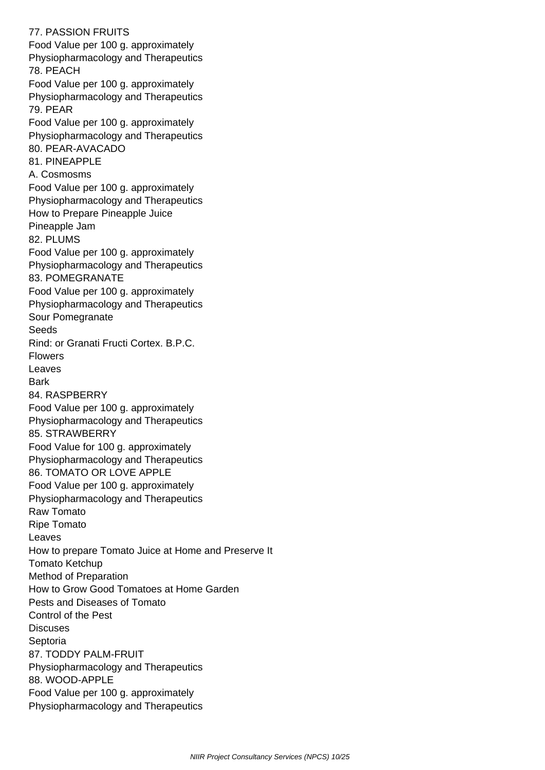77. PASSION FRUITS Food Value per 100 g. approximately Physiopharmacology and Therapeutics 78. PEACH Food Value per 100 g. approximately Physiopharmacology and Therapeutics 79. PEAR Food Value per 100 g. approximately Physiopharmacology and Therapeutics 80. PEAR-AVACADO 81. PINEAPPLE A. Cosmosms Food Value per 100 g. approximately Physiopharmacology and Therapeutics How to Prepare Pineapple Juice Pineapple Jam 82. PLUMS Food Value per 100 g. approximately Physiopharmacology and Therapeutics 83. POMEGRANATE Food Value per 100 g. approximately Physiopharmacology and Therapeutics Sour Pomegranate Seeds Rind: or Granati Fructi Cortex. B.P.C. Flowers Leaves Bark 84. RASPBERRY Food Value per 100 g. approximately Physiopharmacology and Therapeutics 85. STRAWBERRY Food Value for 100 g. approximately Physiopharmacology and Therapeutics 86. TOMATO OR LOVE APPLE Food Value per 100 g. approximately Physiopharmacology and Therapeutics Raw Tomato Ripe Tomato Leaves How to prepare Tomato Juice at Home and Preserve It Tomato Ketchup Method of Preparation How to Grow Good Tomatoes at Home Garden Pests and Diseases of Tomato Control of the Pest **Discuses**  Septoria 87. TODDY PALM-FRUIT Physiopharmacology and Therapeutics 88. WOOD-APPLE Food Value per 100 g. approximately Physiopharmacology and Therapeutics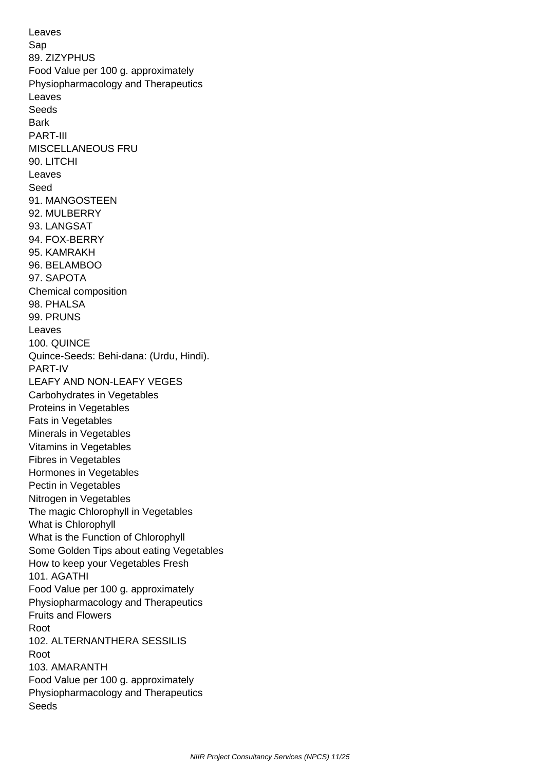Leaves Sap 89. ZIZYPHUS Food Value per 100 g. approximately Physiopharmacology and Therapeutics Leaves Seeds **Bark**  PART-III MISCELLANEOUS FRU 90. LITCHI Leaves Seed 91. MANGOSTEEN 92. MULBERRY 93. LANGSAT 94. FOX-BERRY 95. KAMRAKH 96. BELAMBOO 97. SAPOTA Chemical composition 98. PHALSA 99. PRUNS Leaves 100. QUINCE Quince-Seeds: Behi-dana: (Urdu, Hindi). PART-IV LEAFY AND NON-LEAFY VEGES Carbohydrates in Vegetables Proteins in Vegetables Fats in Vegetables Minerals in Vegetables Vitamins in Vegetables Fibres in Vegetables Hormones in Vegetables Pectin in Vegetables Nitrogen in Vegetables The magic Chlorophyll in Vegetables What is Chlorophyll What is the Function of Chlorophyll Some Golden Tips about eating Vegetables How to keep your Vegetables Fresh 101. AGATHI Food Value per 100 g. approximately Physiopharmacology and Therapeutics Fruits and Flowers Root 102. ALTERNANTHERA SESSILIS Root 103. AMARANTH Food Value per 100 g. approximately Physiopharmacology and Therapeutics Seeds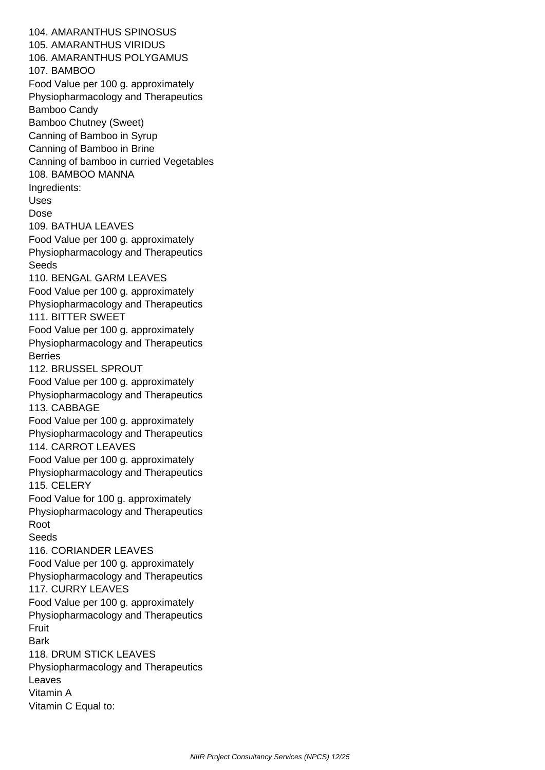104. AMARANTHUS SPINOSUS 105. AMARANTHUS VIRIDUS 106. AMARANTHUS POLYGAMUS 107. BAMBOO Food Value per 100 g. approximately Physiopharmacology and Therapeutics Bamboo Candy Bamboo Chutney (Sweet) Canning of Bamboo in Syrup Canning of Bamboo in Brine Canning of bamboo in curried Vegetables 108. BAMBOO MANNA Ingredients: Uses Dose 109. BATHUA LEAVES Food Value per 100 g. approximately Physiopharmacology and Therapeutics **Seeds**  110. BENGAL GARM LEAVES Food Value per 100 g. approximately Physiopharmacology and Therapeutics 111. BITTER SWEET Food Value per 100 g. approximately Physiopharmacology and Therapeutics Berries 112. BRUSSEL SPROUT Food Value per 100 g. approximately Physiopharmacology and Therapeutics 113. CABBAGE Food Value per 100 g. approximately Physiopharmacology and Therapeutics 114. CARROT LEAVES Food Value per 100 g. approximately Physiopharmacology and Therapeutics 115. CELERY Food Value for 100 g. approximately Physiopharmacology and Therapeutics Root **Seeds**  116. CORIANDER LEAVES Food Value per 100 g. approximately Physiopharmacology and Therapeutics 117. CURRY LEAVES Food Value per 100 g. approximately Physiopharmacology and Therapeutics Fruit Bark 118. DRUM STICK LEAVES Physiopharmacology and Therapeutics Leaves Vitamin A Vitamin C Equal to: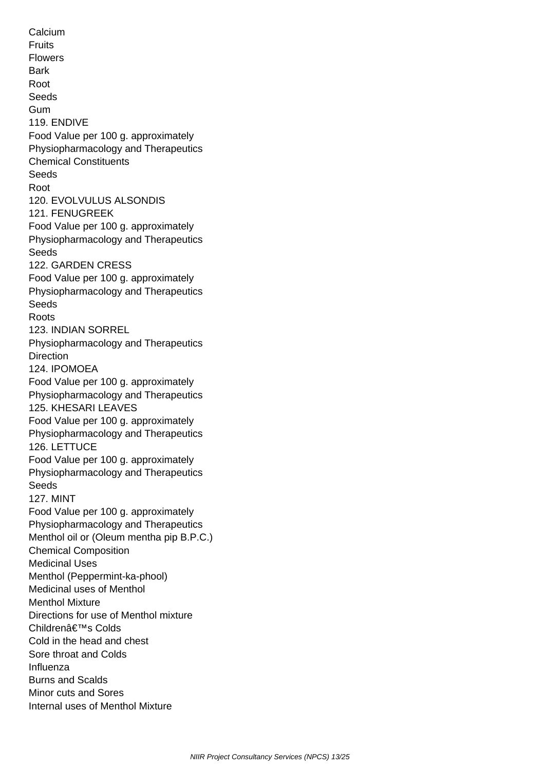**Calcium**  Fruits Flowers **Bark**  Root Seeds Gum 119. ENDIVE Food Value per 100 g. approximately Physiopharmacology and Therapeutics Chemical Constituents Seeds Root 120. EVOLVULUS ALSONDIS 121. FENUGREEK Food Value per 100 g. approximately Physiopharmacology and Therapeutics **Seeds**  122. GARDEN CRESS Food Value per 100 g. approximately Physiopharmacology and Therapeutics Seeds Roots 123. INDIAN SORREL Physiopharmacology and Therapeutics Direction 124. IPOMOEA Food Value per 100 g. approximately Physiopharmacology and Therapeutics 125. KHESARI LEAVES Food Value per 100 g. approximately Physiopharmacology and Therapeutics 126. LETTUCE Food Value per 100 g. approximately Physiopharmacology and Therapeutics Seeds 127. MINT Food Value per 100 g. approximately Physiopharmacology and Therapeutics Menthol oil or (Oleum mentha pip B.P.C.) Chemical Composition Medicinal Uses Menthol (Peppermint-ka-phool) Medicinal uses of Menthol Menthol Mixture Directions for use of Menthol mixture Childrenâ€<sup>™</sup>s Colds Cold in the head and chest Sore throat and Colds Influenza Burns and Scalds Minor cuts and Sores Internal uses of Menthol Mixture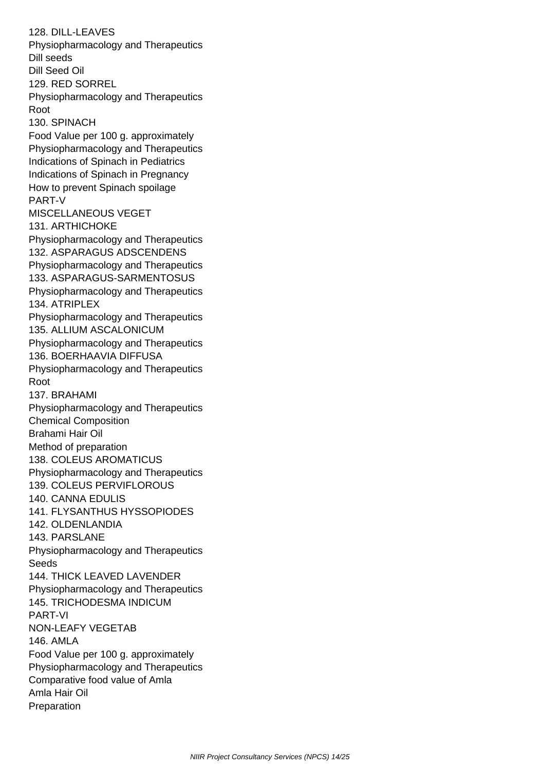128. DILL-LEAVES Physiopharmacology and Therapeutics Dill seeds Dill Seed Oil 129. RED SORREL Physiopharmacology and Therapeutics Root 130. SPINACH Food Value per 100 g. approximately Physiopharmacology and Therapeutics Indications of Spinach in Pediatrics Indications of Spinach in Pregnancy How to prevent Spinach spoilage PART-V MISCELLANEOUS VEGET 131. ARTHICHOKE Physiopharmacology and Therapeutics 132. ASPARAGUS ADSCENDENS Physiopharmacology and Therapeutics 133. ASPARAGUS-SARMENTOSUS Physiopharmacology and Therapeutics 134. ATRIPLEX Physiopharmacology and Therapeutics 135. ALLIUM ASCALONICUM Physiopharmacology and Therapeutics 136. BOERHAAVIA DIFFUSA Physiopharmacology and Therapeutics Root 137. BRAHAMI Physiopharmacology and Therapeutics Chemical Composition Brahami Hair Oil Method of preparation 138. COLEUS AROMATICUS Physiopharmacology and Therapeutics 139. COLEUS PERVIFLOROUS 140. CANNA EDULIS 141. FLYSANTHUS HYSSOPIODES 142. OLDENLANDIA 143. PARSLANE Physiopharmacology and Therapeutics Seeds 144. THICK LEAVED LAVENDER Physiopharmacology and Therapeutics 145. TRICHODESMA INDICUM PART-VI NON-LEAFY VEGETAB 146. AMLA Food Value per 100 g. approximately Physiopharmacology and Therapeutics Comparative food value of Amla Amla Hair Oil **Preparation**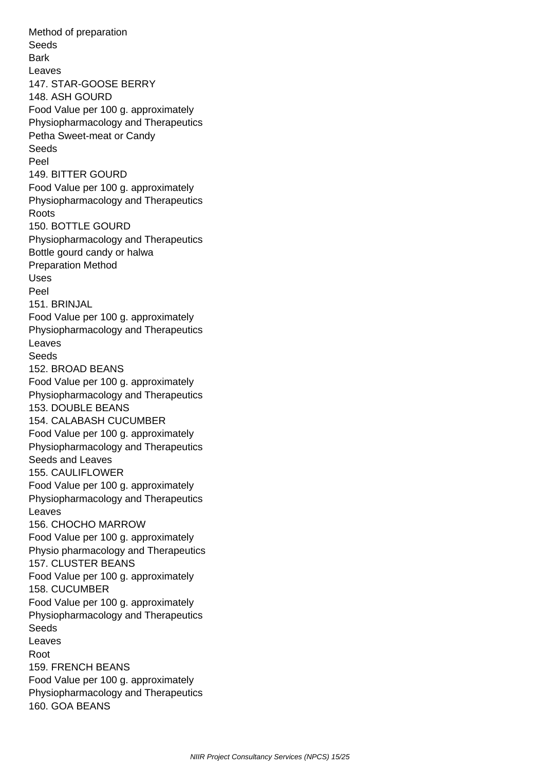Method of preparation Seeds **Bark**  Leaves 147. STAR-GOOSE BERRY 148. ASH GOURD Food Value per 100 g. approximately Physiopharmacology and Therapeutics Petha Sweet-meat or Candy Seeds Peel 149. BITTER GOURD Food Value per 100 g. approximately Physiopharmacology and Therapeutics Roots 150. BOTTLE GOURD Physiopharmacology and Therapeutics Bottle gourd candy or halwa Preparation Method Uses Peel 151. BRINJAL Food Value per 100 g. approximately Physiopharmacology and Therapeutics Leaves Seeds 152. BROAD BEANS Food Value per 100 g. approximately Physiopharmacology and Therapeutics 153. DOUBLE BEANS 154. CALABASH CUCUMBER Food Value per 100 g. approximately Physiopharmacology and Therapeutics Seeds and Leaves 155. CAULIFLOWER Food Value per 100 g. approximately Physiopharmacology and Therapeutics Leaves 156. CHOCHO MARROW Food Value per 100 g. approximately Physio pharmacology and Therapeutics 157. CLUSTER BEANS Food Value per 100 g. approximately 158. CUCUMBER Food Value per 100 g. approximately Physiopharmacology and Therapeutics Seeds Leaves Root 159. FRENCH BEANS Food Value per 100 g. approximately Physiopharmacology and Therapeutics 160. GOA BEANS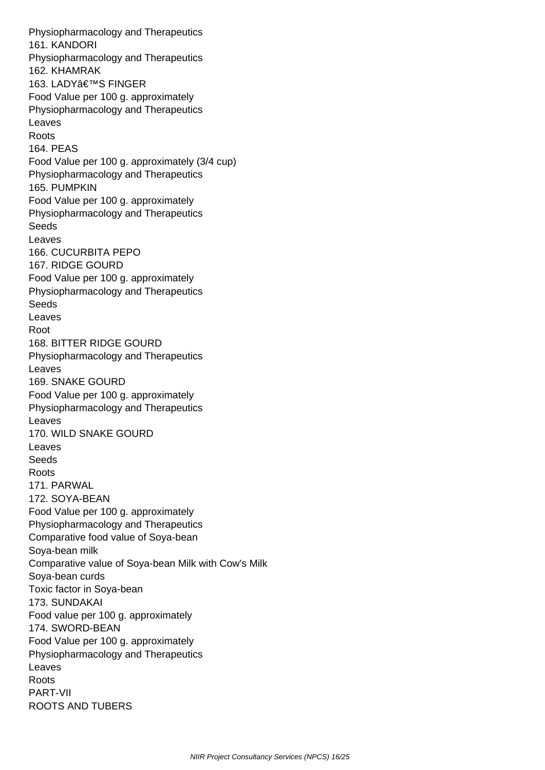Physiopharmacology and Therapeutics 161. KANDORI Physiopharmacology and Therapeutics 162. KHAMRAK 163. LADY'S FINGER Food Value per 100 g. approximately Physiopharmacology and Therapeutics Leaves Roots 164. PEAS Food Value per 100 g. approximately (3/4 cup) Physiopharmacology and Therapeutics 165. PUMPKIN Food Value per 100 g. approximately Physiopharmacology and Therapeutics Seeds Leaves 166. CUCURBITA PEPO 167. RIDGE GOURD Food Value per 100 g. approximately Physiopharmacology and Therapeutics Seeds Leaves Root 168. BITTER RIDGE GOURD Physiopharmacology and Therapeutics Leaves 169. SNAKE GOURD Food Value per 100 g. approximately Physiopharmacology and Therapeutics Leaves 170. WILD SNAKE GOURD Leaves **Seeds**  Roots 171. PARWAL 172. SOYA-BEAN Food Value per 100 g. approximately Physiopharmacology and Therapeutics Comparative food value of Soya-bean Soya-bean milk Comparative value of Soya-bean Milk with Cow's Milk Soya-bean curds Toxic factor in Soya-bean 173. SUNDAKAI Food value per 100 g. approximately 174. SWORD-BEAN Food Value per 100 g. approximately Physiopharmacology and Therapeutics Leaves Roots PART-VII ROOTS AND TUBERS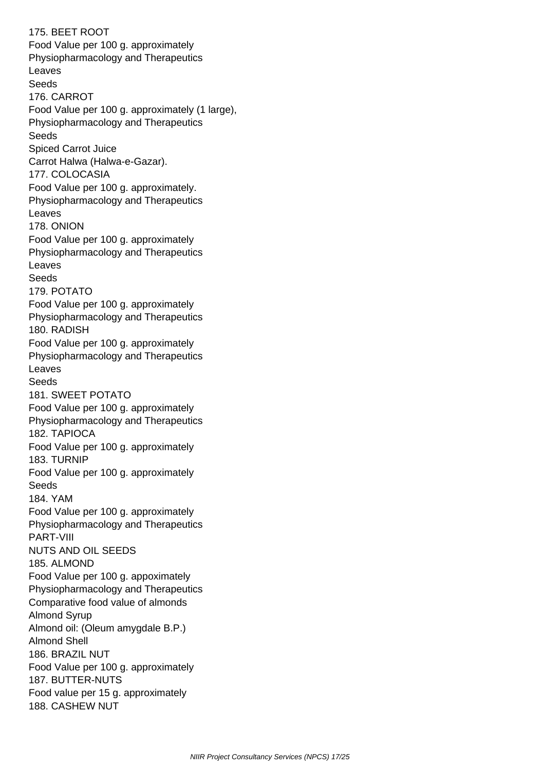175. BEET ROOT Food Value per 100 g. approximately Physiopharmacology and Therapeutics Leaves **Seeds**  176. CARROT Food Value per 100 g. approximately (1 large), Physiopharmacology and Therapeutics Seeds Spiced Carrot Juice Carrot Halwa (Halwa-e-Gazar). 177. COLOCASIA Food Value per 100 g. approximately. Physiopharmacology and Therapeutics Leaves 178. ONION Food Value per 100 g. approximately Physiopharmacology and Therapeutics Leaves **Seeds**  179. POTATO Food Value per 100 g. approximately Physiopharmacology and Therapeutics 180. RADISH Food Value per 100 g. approximately Physiopharmacology and Therapeutics Leaves Seeds 181. SWEET POTATO Food Value per 100 g. approximately Physiopharmacology and Therapeutics 182. TAPIOCA Food Value per 100 g. approximately 183. TURNIP Food Value per 100 g. approximately Seeds 184. YAM Food Value per 100 g. approximately Physiopharmacology and Therapeutics PART-VIII NUTS AND OIL SEEDS 185. ALMOND Food Value per 100 g. appoximately Physiopharmacology and Therapeutics Comparative food value of almonds Almond Syrup Almond oil: (Oleum amygdale B.P.) Almond Shell 186. BRAZIL NUT Food Value per 100 g. approximately 187. BUTTER-NUTS Food value per 15 g. approximately 188. CASHEW NUT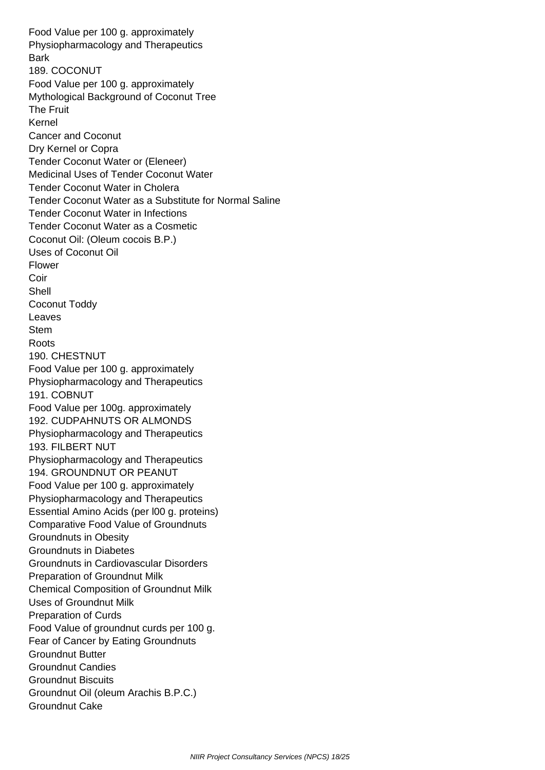Food Value per 100 g. approximately Physiopharmacology and Therapeutics **Bark**  189. COCONUT Food Value per 100 g. approximately Mythological Background of Coconut Tree The Fruit Kernel Cancer and Coconut Dry Kernel or Copra Tender Coconut Water or (Eleneer) Medicinal Uses of Tender Coconut Water Tender Coconut Water in Cholera Tender Coconut Water as a Substitute for Normal Saline Tender Coconut Water in Infections Tender Coconut Water as a Cosmetic Coconut Oil: (Oleum cocois B.P.) Uses of Coconut Oil Flower Coir Shell Coconut Toddy Leaves Stem Roots 190. CHESTNUT Food Value per 100 g. approximately Physiopharmacology and Therapeutics 191. COBNUT Food Value per 100g. approximately 192. CUDPAHNUTS OR ALMONDS Physiopharmacology and Therapeutics 193. FILBERT NUT Physiopharmacology and Therapeutics 194. GROUNDNUT OR PEANUT Food Value per 100 g. approximately Physiopharmacology and Therapeutics Essential Amino Acids (per l00 g. proteins) Comparative Food Value of Groundnuts Groundnuts in Obesity Groundnuts in Diabetes Groundnuts in Cardiovascular Disorders Preparation of Groundnut Milk Chemical Composition of Groundnut Milk Uses of Groundnut Milk Preparation of Curds Food Value of groundnut curds per 100 g. Fear of Cancer by Eating Groundnuts Groundnut Butter Groundnut Candies Groundnut Biscuits Groundnut Oil (oleum Arachis B.P.C.) Groundnut Cake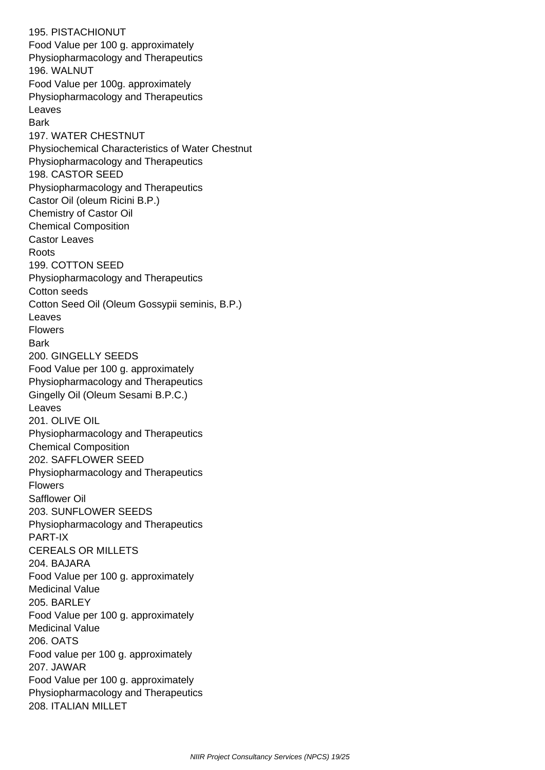195. PISTACHIONUT Food Value per 100 g. approximately Physiopharmacology and Therapeutics 196. WALNUT Food Value per 100g. approximately Physiopharmacology and Therapeutics Leaves **Bark**  197. WATER CHESTNUT Physiochemical Characteristics of Water Chestnut Physiopharmacology and Therapeutics 198. CASTOR SEED Physiopharmacology and Therapeutics Castor Oil (oleum Ricini B.P.) Chemistry of Castor Oil Chemical Composition Castor Leaves Roots 199. COTTON SEED Physiopharmacology and Therapeutics Cotton seeds Cotton Seed Oil (Oleum Gossypii seminis, B.P.) Leaves Flowers **Bark**  200. GINGELLY SEEDS Food Value per 100 g. approximately Physiopharmacology and Therapeutics Gingelly Oil (Oleum Sesami B.P.C.) Leaves 201. OLIVE OIL Physiopharmacology and Therapeutics Chemical Composition 202. SAFFLOWER SEED Physiopharmacology and Therapeutics Flowers Safflower Oil 203. SUNFLOWER SEEDS Physiopharmacology and Therapeutics PART-IX CEREALS OR MILLETS 204. BAJARA Food Value per 100 g. approximately Medicinal Value 205. BARLEY Food Value per 100 g. approximately Medicinal Value 206. OATS Food value per 100 g. approximately 207. JAWAR Food Value per 100 g. approximately Physiopharmacology and Therapeutics 208. ITALIAN MILLET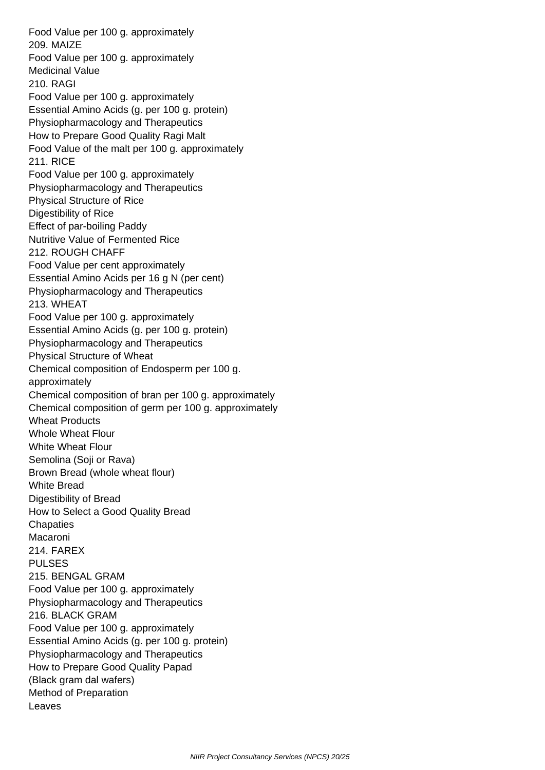Food Value per 100 g. approximately 209. MAIZE Food Value per 100 g. approximately Medicinal Value 210. RAGI Food Value per 100 g. approximately Essential Amino Acids (g. per 100 g. protein) Physiopharmacology and Therapeutics How to Prepare Good Quality Ragi Malt Food Value of the malt per 100 g. approximately 211. RICE Food Value per 100 g. approximately Physiopharmacology and Therapeutics Physical Structure of Rice Digestibility of Rice Effect of par-boiling Paddy Nutritive Value of Fermented Rice 212. ROUGH CHAFF Food Value per cent approximately Essential Amino Acids per 16 g N (per cent) Physiopharmacology and Therapeutics 213. WHEAT Food Value per 100 g. approximately Essential Amino Acids (g. per 100 g. protein) Physiopharmacology and Therapeutics Physical Structure of Wheat Chemical composition of Endosperm per 100 g. approximately Chemical composition of bran per 100 g. approximately Chemical composition of germ per 100 g. approximately Wheat Products Whole Wheat Flour White Wheat Flour Semolina (Soji or Rava) Brown Bread (whole wheat flour) White Bread Digestibility of Bread How to Select a Good Quality Bread **Chapaties**  Macaroni 214. FAREX PULSES 215. BENGAL GRAM Food Value per 100 g. approximately Physiopharmacology and Therapeutics 216. BLACK GRAM Food Value per 100 g. approximately Essential Amino Acids (g. per 100 g. protein) Physiopharmacology and Therapeutics How to Prepare Good Quality Papad (Black gram dal wafers) Method of Preparation Leaves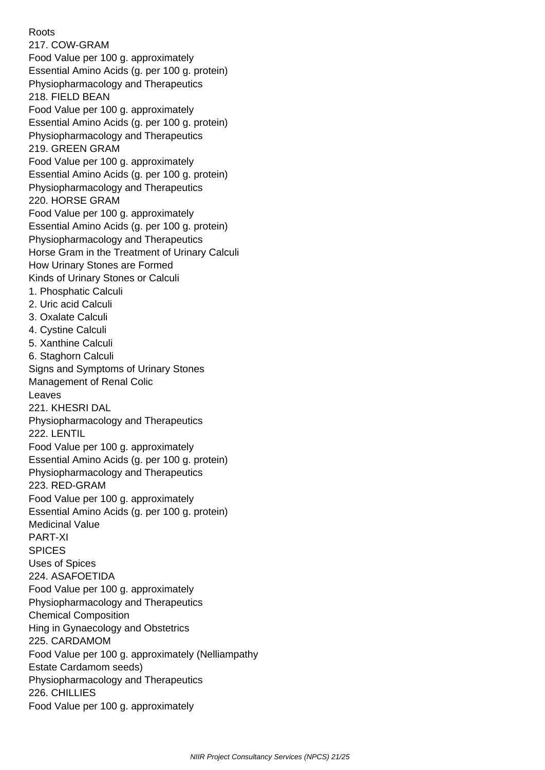Roots 217. COW-GRAM Food Value per 100 g. approximately Essential Amino Acids (g. per 100 g. protein) Physiopharmacology and Therapeutics 218. FIELD BEAN Food Value per 100 g. approximately Essential Amino Acids (g. per 100 g. protein) Physiopharmacology and Therapeutics 219. GREEN GRAM Food Value per 100 g. approximately Essential Amino Acids (g. per 100 g. protein) Physiopharmacology and Therapeutics 220. HORSE GRAM Food Value per 100 g. approximately Essential Amino Acids (g. per 100 g. protein) Physiopharmacology and Therapeutics Horse Gram in the Treatment of Urinary Calculi How Urinary Stones are Formed Kinds of Urinary Stones or Calculi 1. Phosphatic Calculi 2. Uric acid Calculi 3. Oxalate Calculi 4. Cystine Calculi 5. Xanthine Calculi 6. Staghorn Calculi Signs and Symptoms of Urinary Stones Management of Renal Colic Leaves 221. KHESRI DAL Physiopharmacology and Therapeutics 222. LENTIL Food Value per 100 g. approximately Essential Amino Acids (g. per 100 g. protein) Physiopharmacology and Therapeutics 223. RED-GRAM Food Value per 100 g. approximately Essential Amino Acids (g. per 100 g. protein) Medicinal Value PART-XI SPICES Uses of Spices 224. ASAFOETIDA Food Value per 100 g. approximately Physiopharmacology and Therapeutics Chemical Composition Hing in Gynaecology and Obstetrics 225. CARDAMOM Food Value per 100 g. approximately (Nelliampathy Estate Cardamom seeds) Physiopharmacology and Therapeutics 226. CHILLIES Food Value per 100 g. approximately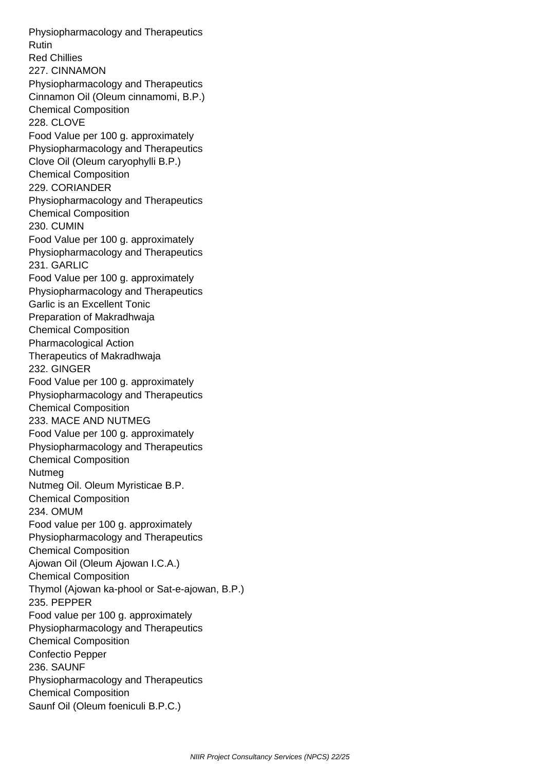Physiopharmacology and Therapeutics Rutin Red Chillies 227. CINNAMON Physiopharmacology and Therapeutics Cinnamon Oil (Oleum cinnamomi, B.P.) Chemical Composition 228. CLOVE Food Value per 100 g. approximately Physiopharmacology and Therapeutics Clove Oil (Oleum caryophylli B.P.) Chemical Composition 229. CORIANDER Physiopharmacology and Therapeutics Chemical Composition 230. CUMIN Food Value per 100 g. approximately Physiopharmacology and Therapeutics 231. GARLIC Food Value per 100 g. approximately Physiopharmacology and Therapeutics Garlic is an Excellent Tonic Preparation of Makradhwaja Chemical Composition Pharmacological Action Therapeutics of Makradhwaja 232. GINGER Food Value per 100 g. approximately Physiopharmacology and Therapeutics Chemical Composition 233. MACE AND NUTMEG Food Value per 100 g. approximately Physiopharmacology and Therapeutics Chemical Composition Nutmeg Nutmeg Oil. Oleum Myristicae B.P. Chemical Composition 234. OMUM Food value per 100 g. approximately Physiopharmacology and Therapeutics Chemical Composition Ajowan Oil (Oleum Ajowan I.C.A.) Chemical Composition Thymol (Ajowan ka-phool or Sat-e-ajowan, B.P.) 235. PEPPER Food value per 100 g. approximately Physiopharmacology and Therapeutics Chemical Composition Confectio Pepper 236. SAUNF Physiopharmacology and Therapeutics Chemical Composition Saunf Oil (Oleum foeniculi B.P.C.)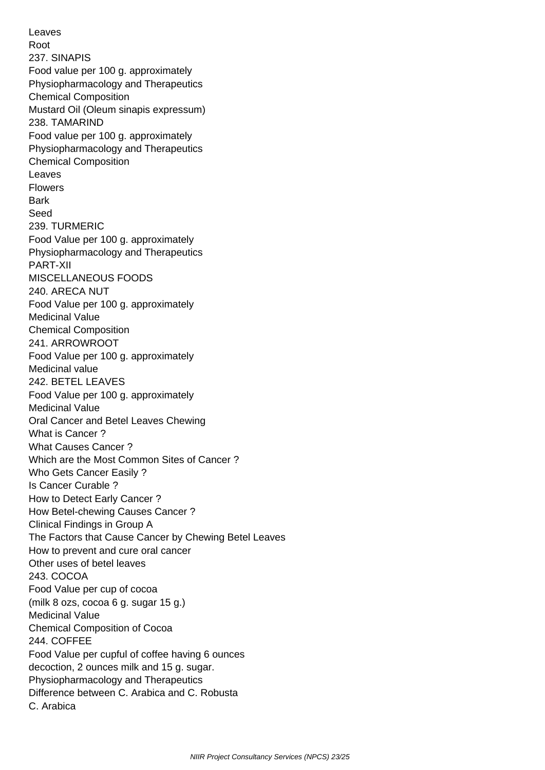Leaves Root 237. SINAPIS Food value per 100 g. approximately Physiopharmacology and Therapeutics Chemical Composition Mustard Oil (Oleum sinapis expressum) 238. TAMARIND Food value per 100 g. approximately Physiopharmacology and Therapeutics Chemical Composition Leaves Flowers **Bark**  Seed 239. TURMERIC Food Value per 100 g. approximately Physiopharmacology and Therapeutics PART-XII MISCELLANEOUS FOODS 240. ARECA NUT Food Value per 100 g. approximately Medicinal Value Chemical Composition 241. ARROWROOT Food Value per 100 g. approximately Medicinal value 242. BETEL LEAVES Food Value per 100 g. approximately Medicinal Value Oral Cancer and Betel Leaves Chewing What is Cancer ? What Causes Cancer ? Which are the Most Common Sites of Cancer ? Who Gets Cancer Easily ? Is Cancer Curable ? How to Detect Early Cancer ? How Betel-chewing Causes Cancer ? Clinical Findings in Group A The Factors that Cause Cancer by Chewing Betel Leaves How to prevent and cure oral cancer Other uses of betel leaves 243. COCOA Food Value per cup of cocoa (milk 8 ozs, cocoa 6 g. sugar 15 g.) Medicinal Value Chemical Composition of Cocoa 244. COFFEE Food Value per cupful of coffee having 6 ounces decoction, 2 ounces milk and 15 g. sugar. Physiopharmacology and Therapeutics Difference between C. Arabica and C. Robusta C. Arabica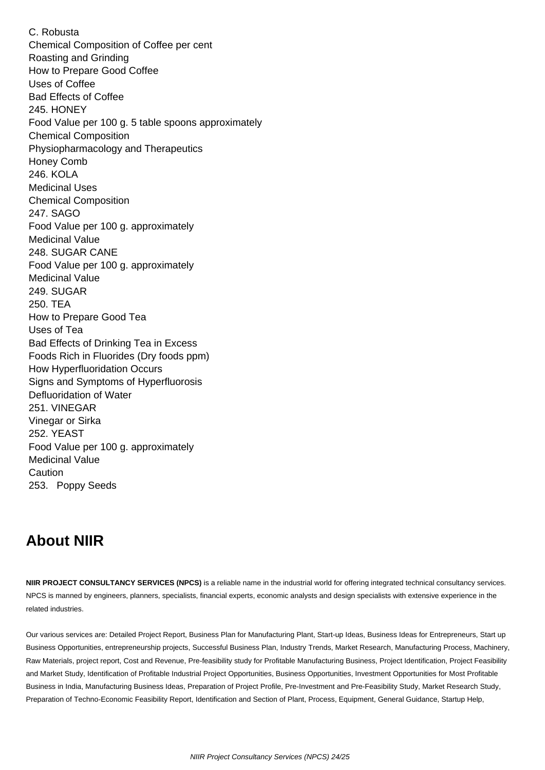C. Robusta Chemical Composition of Coffee per cent Roasting and Grinding How to Prepare Good Coffee Uses of Coffee Bad Effects of Coffee 245. HONEY Food Value per 100 g. 5 table spoons approximately Chemical Composition Physiopharmacology and Therapeutics Honey Comb 246. KOLA Medicinal Uses Chemical Composition 247. SAGO Food Value per 100 g. approximately Medicinal Value 248. SUGAR CANE Food Value per 100 g. approximately Medicinal Value 249. SUGAR 250. TEA How to Prepare Good Tea Uses of Tea Bad Effects of Drinking Tea in Excess Foods Rich in Fluorides (Dry foods ppm) How Hyperfluoridation Occurs Signs and Symptoms of Hyperfluorosis Defluoridation of Water 251. VINEGAR Vinegar or Sirka 252. YEAST Food Value per 100 g. approximately Medicinal Value Caution 253. Poppy Seeds

## **About NIIR**

**NIIR PROJECT CONSULTANCY SERVICES (NPCS)** is a reliable name in the industrial world for offering integrated technical consultancy services. NPCS is manned by engineers, planners, specialists, financial experts, economic analysts and design specialists with extensive experience in the related industries.

Our various services are: Detailed Project Report, Business Plan for Manufacturing Plant, Start-up Ideas, Business Ideas for Entrepreneurs, Start up Business Opportunities, entrepreneurship projects, Successful Business Plan, Industry Trends, Market Research, Manufacturing Process, Machinery, Raw Materials, project report, Cost and Revenue, Pre-feasibility study for Profitable Manufacturing Business, Project Identification, Project Feasibility and Market Study, Identification of Profitable Industrial Project Opportunities, Business Opportunities, Investment Opportunities for Most Profitable Business in India, Manufacturing Business Ideas, Preparation of Project Profile, Pre-Investment and Pre-Feasibility Study, Market Research Study, Preparation of Techno-Economic Feasibility Report, Identification and Section of Plant, Process, Equipment, General Guidance, Startup Help,